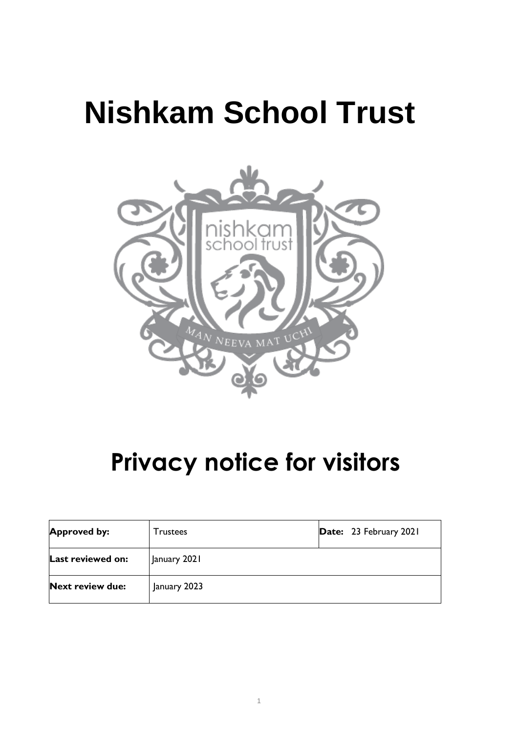# **Nishkam School Trust**



# **Privacy notice for visitors**

| <b>Approved by:</b>     | <b>Trustees</b> | Date: 23 February 2021 |
|-------------------------|-----------------|------------------------|
| Last reviewed on:       | January 2021    |                        |
| <b>Next review due:</b> | January 2023    |                        |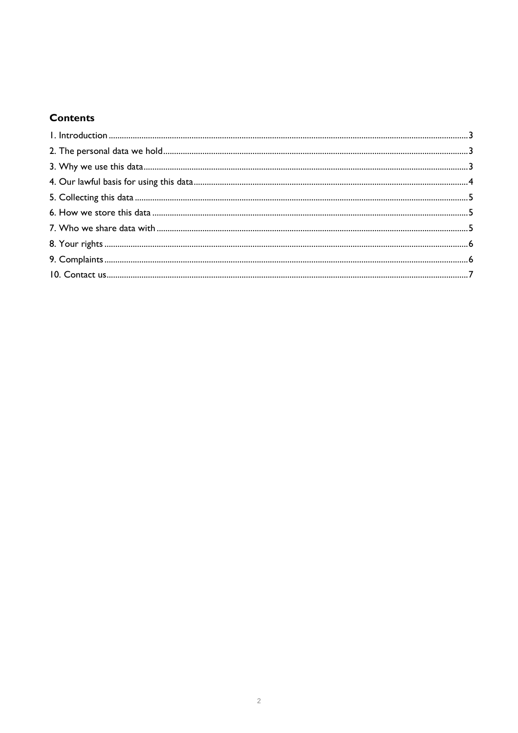# **Contents**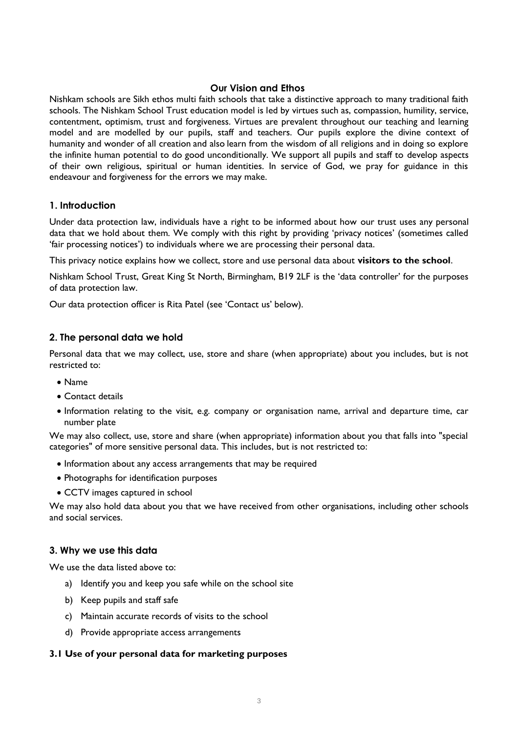## **Our Vision and Ethos**

Nishkam schools are Sikh ethos multi faith schools that take a distinctive approach to many traditional faith schools. The Nishkam School Trust education model is led by virtues such as, compassion, humility, service, contentment, optimism, trust and forgiveness. Virtues are prevalent throughout our teaching and learning model and are modelled by our pupils, staff and teachers. Our pupils explore the divine context of humanity and wonder of all creation and also learn from the wisdom of all religions and in doing so explore the infinite human potential to do good unconditionally. We support all pupils and staff to develop aspects of their own religious, spiritual or human identities. In service of God, we pray for guidance in this endeavour and forgiveness for the errors we may make.

# <span id="page-2-0"></span>**1. Introduction**

Under data protection law, individuals have a right to be informed about how our trust uses any personal data that we hold about them. We comply with this right by providing 'privacy notices' (sometimes called 'fair processing notices') to individuals where we are processing their personal data.

This privacy notice explains how we collect, store and use personal data about **visitors to the school**.

Nishkam School Trust, Great King St North, Birmingham, B19 2LF is the 'data controller' for the purposes of data protection law.

Our data protection officer is Rita Patel (see 'Contact us' below).

# <span id="page-2-1"></span>**2. The personal data we hold**

Personal data that we may collect, use, store and share (when appropriate) about you includes, but is not restricted to:

- Name
- Contact details
- Information relating to the visit, e.g. company or organisation name, arrival and departure time, car number plate

We may also collect, use, store and share (when appropriate) information about you that falls into "special categories" of more sensitive personal data. This includes, but is not restricted to:

- Information about any access arrangements that may be required
- Photographs for identification purposes
- CCTV images captured in school

We may also hold data about you that we have received from other organisations, including other schools and social services.

#### <span id="page-2-2"></span>**3. Why we use this data**

We use the data listed above to:

- a) Identify you and keep you safe while on the school site
- b) Keep pupils and staff safe
- c) Maintain accurate records of visits to the school
- d) Provide appropriate access arrangements

#### **3.1 Use of your personal data for marketing purposes**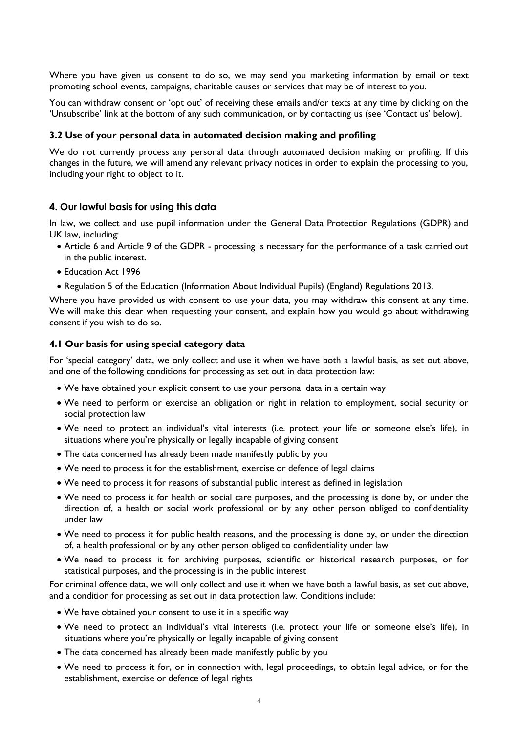Where you have given us consent to do so, we may send you marketing information by email or text promoting school events, campaigns, charitable causes or services that may be of interest to you.

You can withdraw consent or 'opt out' of receiving these emails and/or texts at any time by clicking on the 'Unsubscribe' link at the bottom of any such communication, or by contacting us (see 'Contact us' below).

#### **3.2 Use of your personal data in automated decision making and profiling**

We do not currently process any personal data through automated decision making or profiling. If this changes in the future, we will amend any relevant privacy notices in order to explain the processing to you, including your right to object to it.

#### <span id="page-3-0"></span>**4. Our lawful basis for using this data**

In law, we collect and use pupil information under the General Data Protection Regulations (GDPR) and UK law, including:

- Article 6 and Article 9 of the GDPR processing is necessary for the performance of a task carried out in the public interest.
- Education Act 1996
- Regulation 5 of the Education (Information About Individual Pupils) (England) Regulations 2013.

Where you have provided us with consent to use your data, you may withdraw this consent at any time. We will make this clear when requesting your consent, and explain how you would go about withdrawing consent if you wish to do so.

#### **4.1 Our basis for using special category data**

For 'special category' data, we only collect and use it when we have both a lawful basis, as set out above, and one of the following conditions for processing as set out in data protection law:

- We have obtained your explicit consent to use your personal data in a certain way
- We need to perform or exercise an obligation or right in relation to employment, social security or social protection law
- We need to protect an individual's vital interests (i.e. protect your life or someone else's life), in situations where you're physically or legally incapable of giving consent
- The data concerned has already been made manifestly public by you
- We need to process it for the establishment, exercise or defence of legal claims
- We need to process it for reasons of substantial public interest as defined in legislation
- We need to process it for health or social care purposes, and the processing is done by, or under the direction of, a health or social work professional or by any other person obliged to confidentiality under law
- We need to process it for public health reasons, and the processing is done by, or under the direction of, a health professional or by any other person obliged to confidentiality under law
- We need to process it for archiving purposes, scientific or historical research purposes, or for statistical purposes, and the processing is in the public interest

For criminal offence data, we will only collect and use it when we have both a lawful basis, as set out above, and a condition for processing as set out in data protection law. Conditions include:

- We have obtained your consent to use it in a specific way
- We need to protect an individual's vital interests (i.e. protect your life or someone else's life), in situations where you're physically or legally incapable of giving consent
- The data concerned has already been made manifestly public by you
- We need to process it for, or in connection with, legal proceedings, to obtain legal advice, or for the establishment, exercise or defence of legal rights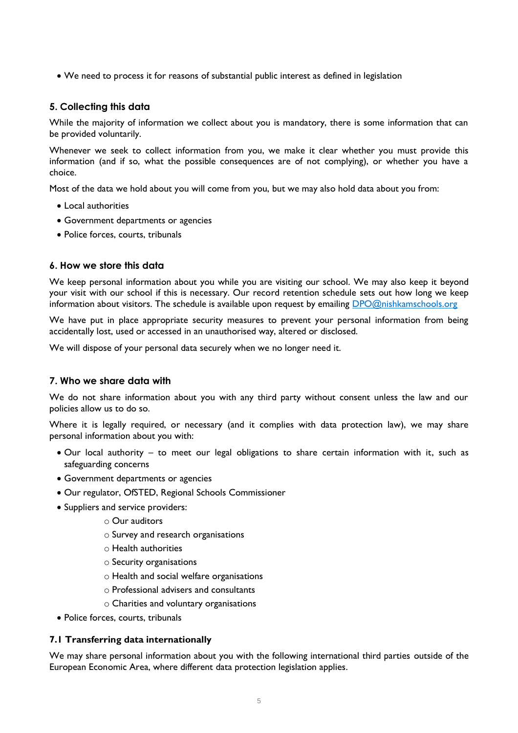• We need to process it for reasons of substantial public interest as defined in legislation

# <span id="page-4-0"></span>**5. Collecting this data**

While the majority of information we collect about you is mandatory, there is some information that can be provided voluntarily.

Whenever we seek to collect information from you, we make it clear whether you must provide this information (and if so, what the possible consequences are of not complying), or whether you have a choice.

Most of the data we hold about you will come from you, but we may also hold data about you from:

- Local authorities
- Government departments or agencies
- Police forces, courts, tribunals

# <span id="page-4-1"></span>**6. How we store this data**

We keep personal information about you while you are visiting our school. We may also keep it beyond your visit with our school if this is necessary. Our record retention schedule sets out how long we keep information about visitors. The schedule is available upon request by emailing [DPO@nishkamschools.org](mailto:DPO@nishkamschools.org)

We have put in place appropriate security measures to prevent your personal information from being accidentally lost, used or accessed in an unauthorised way, altered or disclosed.

We will dispose of your personal data securely when we no longer need it.

# <span id="page-4-2"></span>**7. Who we share data with**

We do not share information about you with any third party without consent unless the law and our policies allow us to do so.

Where it is legally required, or necessary (and it complies with data protection law), we may share personal information about you with:

- Our local authority to meet our legal obligations to share certain information with it, such as safeguarding concerns
- Government departments or agencies
- Our regulator, OfSTED, Regional Schools Commissioner
- Suppliers and service providers:
	- o Our auditors
	- o Survey and research organisations
	- o Health authorities
	- o Security organisations
	- o Health and social welfare organisations
	- o Professional advisers and consultants
	- o Charities and voluntary organisations
- Police forces, courts, tribunals

#### **7.1 Transferring data internationally**

We may share personal information about you with the following international third parties outside of the European Economic Area, where different data protection legislation applies.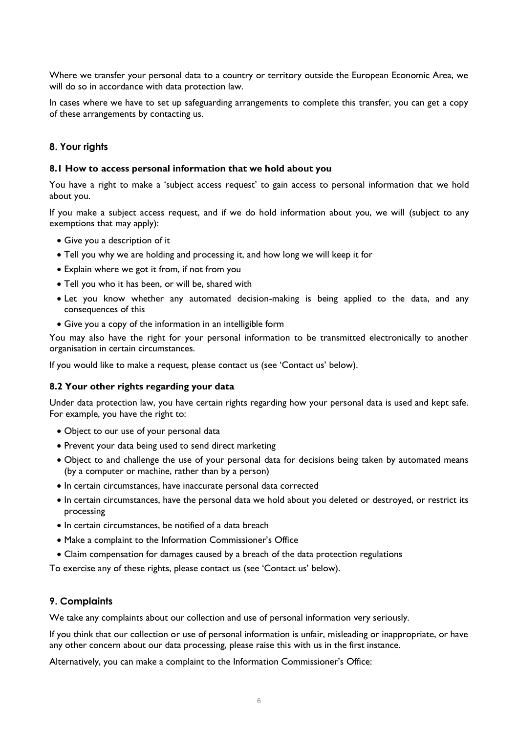Where we transfer your personal data to a country or territory outside the European Economic Area, we will do so in accordance with data protection law.

In cases where we have to set up safeguarding arrangements to complete this transfer, you can get a copy of these arrangements by contacting us.

## <span id="page-5-0"></span>**8. Your rights**

#### **8.1 How to access personal information that we hold about you**

You have a right to make a 'subject access request' to gain access to personal information that we hold about you.

If you make a subject access request, and if we do hold information about you, we will (subject to any exemptions that may apply):

- Give you a description of it
- Tell you why we are holding and processing it, and how long we will keep it for
- Explain where we got it from, if not from you
- Tell you who it has been, or will be, shared with
- Let you know whether any automated decision-making is being applied to the data, and any consequences of this
- Give you a copy of the information in an intelligible form

You may also have the right for your personal information to be transmitted electronically to another organisation in certain circumstances.

If you would like to make a request, please contact us (see 'Contact us' below).

#### **8.2 Your other rights regarding your data**

Under data protection law, you have certain rights regarding how your personal data is used and kept safe. For example, you have the right to:

- Object to our use of your personal data
- Prevent your data being used to send direct marketing
- Object to and challenge the use of your personal data for decisions being taken by automated means (by a computer or machine, rather than by a person)
- In certain circumstances, have inaccurate personal data corrected
- In certain circumstances, have the personal data we hold about you deleted or destroyed, or restrict its processing
- In certain circumstances, be notified of a data breach
- Make a complaint to the Information Commissioner's Office
- Claim compensation for damages caused by a breach of the data protection regulations

To exercise any of these rights, please contact us (see 'Contact us' below).

#### <span id="page-5-1"></span>**9. Complaints**

We take any complaints about our collection and use of personal information very seriously.

If you think that our collection or use of personal information is unfair, misleading or inappropriate, or have any other concern about our data processing, please raise this with us in the first instance.

Alternatively, you can make a complaint to the Information Commissioner's Office: